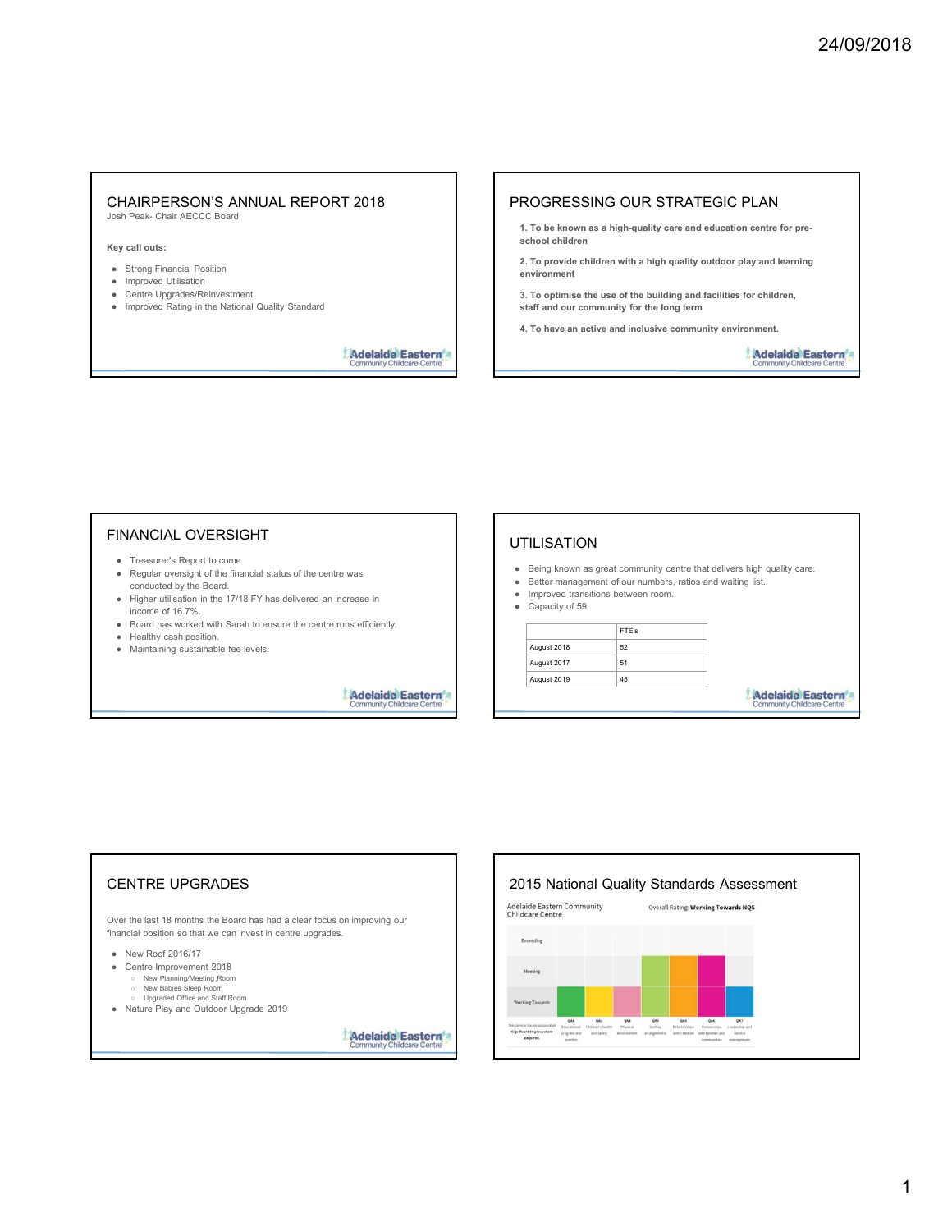# CHAIRPERSON'S ANNUAL REPORT 2018 CHAIRPERSON'S ANNUAL REPORT 2018<br>
Josh Peak- Chair AECCC Board<br>
Key call outs:<br>
• Strong Financial Position<br>
• Improved Utilisation<br>
• Improved Utilisation<br>
• Contre Upgrades/Reinvestment<br>
• Carter Upgrades/Reinvestment<br>
• CHAIRPERSON'S ANNUAL REPORT 2018<br>
Strong Financial Position<br>
e Strong Financial Position<br>
Control Upgrades/Reinvestment<br>
Control Upgrades/Reinvestment<br>
Control Upgrades/Reinvestment<br>
Community Children Control Control of t CHAIRPERSON'S ANNUAL REPORT 2018<br>
Star AECCC Board<br>
Star AECCC Board<br>
Star AECCC Board<br>
Star AECCC Board<br>
Star Agriculture<br>
Control Utilisation<br>
Control Universal Desirion<br>
Control Universal Desiries the use of the Mationa CHAIRPERSON'S ANNUAL REPORT 2018<br>
SCHAIRPERSON'S ANNUAL REPORT 2018<br>
The Monder Schair Chair (Section 2018)<br>
(Section 2018)<br>
(Section 2018)<br>
Started Upgrades/Reinvestment<br>
Schair (Section 2018)<br>
The Material Chair (Section CHAIRPERSON'S ANNUAL REPORT 2018<br>
Contractions Peak- Chair AECC Board<br>
of the National Position<br>
of Standard School entire update Reinvestment<br>
of Ethiop Financial Position<br>
of The National Quality Standard<br>
of The Nationa

- 
- 
- 
- 

### PROGRESSING OUR STRATEGIC PLAN

- 1. To be known as a high-quality care and education centre for pre school children
- 2. To provide children with a high quality outdoor play and learning environment
- 3. To optimise the use of the building and facilities for children, staff and our community for the long term
- 4. To have an active and inclusive community environment.

## FINANCIAL OVERSIGHT

- 
- conducted by the Board.
- 
- 
- 
- 

## UTILISATION

- 
- -

| <b>HAIRPERSON'S ANNUAL REPORT 2018</b><br>sh Peak- Chair AECCC Board                                                                                                                                                           | PROGRESSING OUR STRATEGIC PLAN                                                                                                           |                  |
|--------------------------------------------------------------------------------------------------------------------------------------------------------------------------------------------------------------------------------|------------------------------------------------------------------------------------------------------------------------------------------|------------------|
|                                                                                                                                                                                                                                | 1. To be known as a high-quality care and education centre for pre-<br>school children                                                   |                  |
| y call outs:<br><b>Strong Financial Position</b>                                                                                                                                                                               | 2. To provide children with a high quality outdoor play and learning                                                                     |                  |
| Improved Utilisation                                                                                                                                                                                                           | environment                                                                                                                              |                  |
| Centre Upgrades/Reinvestment<br>Improved Rating in the National Quality Standard                                                                                                                                               | 3. To optimise the use of the building and facilities for children,<br>staff and our community for the long term                         |                  |
|                                                                                                                                                                                                                                | 4. To have an active and inclusive community environment.                                                                                |                  |
| <b>Adelaide Eastern</b><br><b>Community Childcare Centre</b>                                                                                                                                                                   |                                                                                                                                          | Adelaide Eastern |
|                                                                                                                                                                                                                                |                                                                                                                                          |                  |
| <b>INANCIAL OVERSIGHT</b>                                                                                                                                                                                                      |                                                                                                                                          |                  |
| • Treasurer's Report to come.                                                                                                                                                                                                  | <b>UTILISATION</b>                                                                                                                       |                  |
| • Regular oversight of the financial status of the centre was<br>conducted by the Board.                                                                                                                                       | • Being known as great community centre that delivers high quality care.<br>• Better management of our numbers, ratios and waiting list. |                  |
|                                                                                                                                                                                                                                | Improved transitions between room.<br>٠<br>• Capacity of 59                                                                              |                  |
|                                                                                                                                                                                                                                | FTE's                                                                                                                                    |                  |
| • Higher utilisation in the 17/18 FY has delivered an increase in<br>income of 16.7%.<br>Board has worked with Sarah to ensure the centre runs efficiently.<br>Healthy cash position.<br>• Maintaining sustainable fee levels. | 52<br>August 2018                                                                                                                        |                  |
|                                                                                                                                                                                                                                | 51<br>August 2017<br>45<br>August 2019                                                                                                   |                  |

## CENTRE UPGRADES Adelaide Eastern Community<br>Over the last 18 months the Board has had a clear focus on improving our<br>Childcare Centre Frequency Stephen Centre in centre in centre upgrades.<br>
• Regulator of the financial position is a position so that we can invest in centre upgrades in the state management of our random so the can invest in centre in the Conducted by the Daniel.<br>
International characteristics between the control of 7%.<br>
International characteristics between the control of TVB FV has delivered an increase in<br>
Board has when position.<br>
Board has when positi Higher children is the 17/18 FV has delivered an increase in the thermal of Capachy of Si one of 16.7%. The metricular the centre runs efficiently.<br>
Board has voriced visit Staff Roomer is the centre runs efficiently.<br>
M e Trajes custos and the Sheriff of Britain Constant Constant Constant Constant Constant Constant Constant Constant Constant Constant Constant Constant Constant Constant Constant Constant Constant Constant Constant Consta